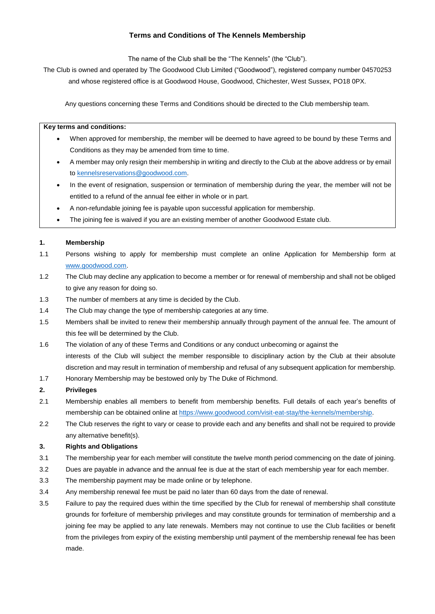# **Terms and Conditions of The Kennels Membership**

The name of the Club shall be the "The Kennels" (the "Club").

The Club is owned and operated by The Goodwood Club Limited ("Goodwood"), registered company number 04570253 and whose registered office is at Goodwood House, Goodwood, Chichester, West Sussex, PO18 0PX.

Any questions concerning these Terms and Conditions should be directed to the Club membership team.

#### **Key terms and conditions:**

- When approved for membership, the member will be deemed to have agreed to be bound by these Terms and Conditions as they may be amended from time to time.
- A member may only resign their membership in writing and directly to the Club at the above address or by email t[o kennelsreservations@goodwood.com.](mailto:kennelsreservations@goodwood.com)
- In the event of resignation, suspension or termination of membership during the year, the member will not be entitled to a refund of the annual fee either in whole or in part.
- A non-refundable joining fee is payable upon successful application for membership.
- The joining fee is waived if you are an existing member of another Goodwood Estate club.

### **1. Membership**

- 1.1 Persons wishing to apply for membership must complete an online Application for Membership form at [www.goodwood.com.](http://www.goodwood.com/)
- 1.2 The Club may decline any application to become a member or for renewal of membership and shall not be obliged to give any reason for doing so.
- 1.3 The number of members at any time is decided by the Club.
- 1.4 The Club may change the type of membership categories at any time.
- 1.5 Members shall be invited to renew their membership annually through payment of the annual fee. The amount of this fee will be determined by the Club.
- 1.6 The violation of any of these Terms and Conditions or any conduct unbecoming or against the interests of the Club will subject the member responsible to disciplinary action by the Club at their absolute discretion and may result in termination of membership and refusal of any subsequent application for membership.
- 1.7 Honorary Membership may be bestowed only by The Duke of Richmond.

## **2. Privileges**

- 2.1 Membership enables all members to benefit from membership benefits. Full details of each year's benefits of membership can be obtained online at [https://www.goodwood.com/visit-eat-stay/the-kennels/membership.](https://www.goodwood.com/visit-eat-stay/the-kennels/membership)
- 2.2 The Club reserves the right to vary or cease to provide each and any benefits and shall not be required to provide any alternative benefit(s).

#### **3. Rights and Obligations**

- 3.1 The membership year for each member will constitute the twelve month period commencing on the date of joining.
- 3.2 Dues are payable in advance and the annual fee is due at the start of each membership year for each member.
- 3.3 The membership payment may be made online or by telephone.
- 3.4 Any membership renewal fee must be paid no later than 60 days from the date of renewal.
- 3.5 Failure to pay the required dues within the time specified by the Club for renewal of membership shall constitute grounds for forfeiture of membership privileges and may constitute grounds for termination of membership and a joining fee may be applied to any late renewals. Members may not continue to use the Club facilities or benefit from the privileges from expiry of the existing membership until payment of the membership renewal fee has been made.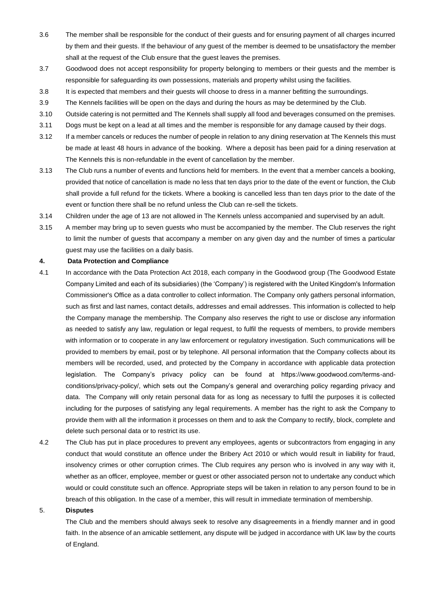- 3.6 The member shall be responsible for the conduct of their guests and for ensuring payment of all charges incurred by them and their guests. If the behaviour of any guest of the member is deemed to be unsatisfactory the member shall at the request of the Club ensure that the guest leaves the premises.
- 3.7 Goodwood does not accept responsibility for property belonging to members or their guests and the member is responsible for safeguarding its own possessions, materials and property whilst using the facilities.
- 3.8 It is expected that members and their guests will choose to dress in a manner befitting the surroundings.
- 3.9 The Kennels facilities will be open on the days and during the hours as may be determined by the Club.
- 3.10 Outside catering is not permitted and The Kennels shall supply all food and beverages consumed on the premises.
- 3.11 Dogs must be kept on a lead at all times and the member is responsible for any damage caused by their dogs.
- 3.12 If a member cancels or reduces the number of people in relation to any dining reservation at The Kennels this must be made at least 48 hours in advance of the booking. Where a deposit has been paid for a dining reservation at The Kennels this is non-refundable in the event of cancellation by the member.
- 3.13 The Club runs a number of events and functions held for members. In the event that a member cancels a booking, provided that notice of cancellation is made no less that ten days prior to the date of the event or function, the Club shall provide a full refund for the tickets. Where a booking is cancelled less than ten days prior to the date of the event or function there shall be no refund unless the Club can re-sell the tickets.
- 3.14 Children under the age of 13 are not allowed in The Kennels unless accompanied and supervised by an adult.
- 3.15 A member may bring up to seven guests who must be accompanied by the member. The Club reserves the right to limit the number of guests that accompany a member on any given day and the number of times a particular guest may use the facilities on a daily basis.

### **4. Data Protection and Compliance**

- 4.1 In accordance with the Data Protection Act 2018, each company in the Goodwood group (The Goodwood Estate Company Limited and each of its subsidiaries) (the 'Company') is registered with the United Kingdom's Information Commissioner's Office as a data controller to collect information. The Company only gathers personal information, such as first and last names, contact details, addresses and email addresses. This information is collected to help the Company manage the membership. The Company also reserves the right to use or disclose any information as needed to satisfy any law, regulation or legal request, to fulfil the requests of members, to provide members with information or to cooperate in any law enforcement or regulatory investigation. Such communications will be provided to members by email, post or by telephone. All personal information that the Company collects about its members will be recorded, used, and protected by the Company in accordance with applicable data protection legislation. The Company's privacy policy can be found at https://www.goodwood.com/terms-andconditions/privacy-policy/, which sets out the Company's general and overarching policy regarding privacy and data. The Company will only retain personal data for as long as necessary to fulfil the purposes it is collected including for the purposes of satisfying any legal requirements. A member has the right to ask the Company to provide them with all the information it processes on them and to ask the Company to rectify, block, complete and delete such personal data or to restrict its use.
- 4.2 The Club has put in place procedures to prevent any employees, agents or subcontractors from engaging in any conduct that would constitute an offence under the Bribery Act 2010 or which would result in liability for fraud, insolvency crimes or other corruption crimes. The Club requires any person who is involved in any way with it, whether as an officer, employee, member or guest or other associated person not to undertake any conduct which would or could constitute such an offence. Appropriate steps will be taken in relation to any person found to be in breach of this obligation. In the case of a member, this will result in immediate termination of membership.

#### 5. **Disputes**

The Club and the members should always seek to resolve any disagreements in a friendly manner and in good faith. In the absence of an amicable settlement, any dispute will be judged in accordance with UK law by the courts of England.